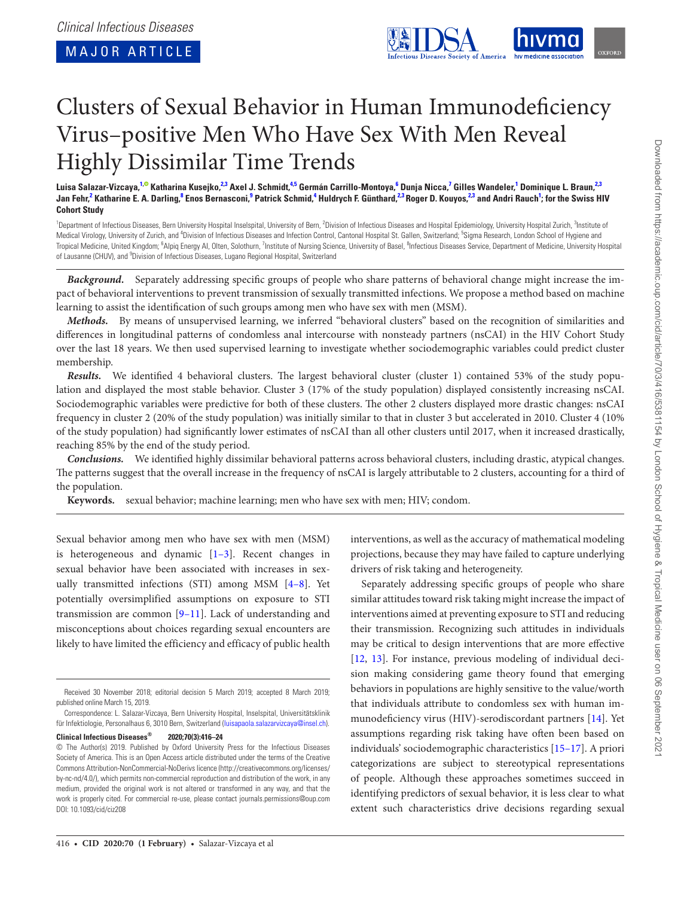

# Clusters of Sexual Behavior in Human Immunodeficiency Virus–positive Men Who Have Sex With Men Reveal Highly Dissimilar Time Trends

Luisa Salazar-Vizcaya,<sup>1,©</sup> Katharina Kusejko,<sup>2,3</sup> Axel J. Schmidt,<sup>4,5</sup> Germán Carrillo-Montoya,<sup>6</sup> Dunja Nicca,<sup>7</sup> Gilles Wandeler,<sup>1</sup> Dominique L. Braun,<sup>2,3</sup>  ${\sf Jan\,Fehr}^2$  Katharine E. A. Darling,<sup>8</sup> Enos Bernasconi,<sup>9</sup> Patrick Schmid,<sup>4</sup> Huldrych F. Günthard,<sup>2,3</sup> Roger D. Kouyos,<sup>2,3</sup> and Andri Rauch<sup>1</sup>; for the Swiss HIV **Cohort Study**

<span id="page-0-0"></span><sup>1</sup>Department of Infectious Diseases, Bern University Hospital Inselspital, University of Bern, <sup>2</sup>Division of Infectious Diseases and Hospital Epidemiology, University Hospital Zurich, <sup>3</sup>Institute of Medical Virology, University of Zurich, and <sup>4</sup>Division of Infectious Diseases and Infection Control, Cantonal Hospital St. Gallen, Switzerland; <sup>5</sup>Sigma Research, London School of Hygiene and Tropical Medicine, United Kingdom; <sup>6</sup>Alpiq Energy AI, Olten, Solothurn, <sup>7</sup>Institute of Nursing Science, University of Basel, <sup>8</sup>Infectious Diseases Service, Department of Medicine, University Hospital of Lausanne (CHUV), and <sup>9</sup>Division of Infectious Diseases, Lugano Regional Hospital, Switzerland

*Background.* Separately addressing specific groups of people who share patterns of behavioral change might increase the impact of behavioral interventions to prevent transmission of sexually transmitted infections. We propose a method based on machine learning to assist the identification of such groups among men who have sex with men (MSM).

*Methods.* By means of unsupervised learning, we inferred "behavioral clusters" based on the recognition of similarities and differences in longitudinal patterns of condomless anal intercourse with nonsteady partners (nsCAI) in the HIV Cohort Study over the last 18 years. We then used supervised learning to investigate whether sociodemographic variables could predict cluster membership.

*Results.* We identified 4 behavioral clusters. The largest behavioral cluster (cluster 1) contained 53% of the study population and displayed the most stable behavior. Cluster 3 (17% of the study population) displayed consistently increasing nsCAI. Sociodemographic variables were predictive for both of these clusters. The other 2 clusters displayed more drastic changes: nsCAI frequency in cluster 2 (20% of the study population) was initially similar to that in cluster 3 but accelerated in 2010. Cluster 4 (10% of the study population) had significantly lower estimates of nsCAI than all other clusters until 2017, when it increased drastically, reaching 85% by the end of the study period.

*Conclusions.* We identified highly dissimilar behavioral patterns across behavioral clusters, including drastic, atypical changes. The patterns suggest that the overall increase in the frequency of nsCAI is largely attributable to 2 clusters, accounting for a third of the population.

**Keywords.** sexual behavior; machine learning; men who have sex with men; HIV; condom.

Sexual behavior among men who have sex with men (MSM) is heterogeneous and dynamic [[1–3\]](#page-7-0). Recent changes in sexual behavior have been associated with increases in sexually transmitted infections (STI) among MSM [\[4–8\]](#page-7-1). Yet potentially oversimplified assumptions on exposure to STI transmission are common [\[9–11\]](#page-7-2). Lack of understanding and misconceptions about choices regarding sexual encounters are likely to have limited the efficiency and efficacy of public health

**Clinical Infectious Diseases® 2020;70(3):416–24**

interventions, as well as the accuracy of mathematical modeling projections, because they may have failed to capture underlying drivers of risk taking and heterogeneity.

Separately addressing specific groups of people who share similar attitudes toward risk taking might increase the impact of interventions aimed at preventing exposure to STI and reducing their transmission. Recognizing such attitudes in individuals may be critical to design interventions that are more effective [\[12](#page-7-3), [13](#page-7-4)]. For instance, previous modeling of individual decision making considering game theory found that emerging behaviors in populations are highly sensitive to the value/worth that individuals attribute to condomless sex with human immunodeficiency virus (HIV)-serodiscordant partners [[14\]](#page-7-5). Yet assumptions regarding risk taking have often been based on individuals' sociodemographic characteristics [[15–17\]](#page-7-6). A priori categorizations are subject to stereotypical representations of people. Although these approaches sometimes succeed in identifying predictors of sexual behavior, it is less clear to what extent such characteristics drive decisions regarding sexual

Received 30 November 2018; editorial decision 5 March 2019; accepted 8 March 2019; published online March 15, 2019.

Correspondence: L. Salazar-Vizcaya, Bern University Hospital, Inselspital, Universitätsklinik für Infektiologie, Personalhaus 6, 3010 Bern, Switzerland ([luisapaola.salazarvizcaya@insel.ch](mailto:luisapaola.salazarvizcaya@insel.ch?subject=)).

<sup>©</sup> The Author(s) 2019. Published by Oxford University Press for the Infectious Diseases Society of America. This is an Open Access article distributed under the terms of the Creative Commons Attribution-NonCommercial-NoDerivs licence (http://creativecommons.org/licenses/ by-nc-nd/4.0/), which permits non-commercial reproduction and distribution of the work, in any medium, provided the original work is not altered or transformed in any way, and that the work is properly cited. For commercial re-use, please contact journals.permissions@oup.com DOI: 10.1093/cid/ciz208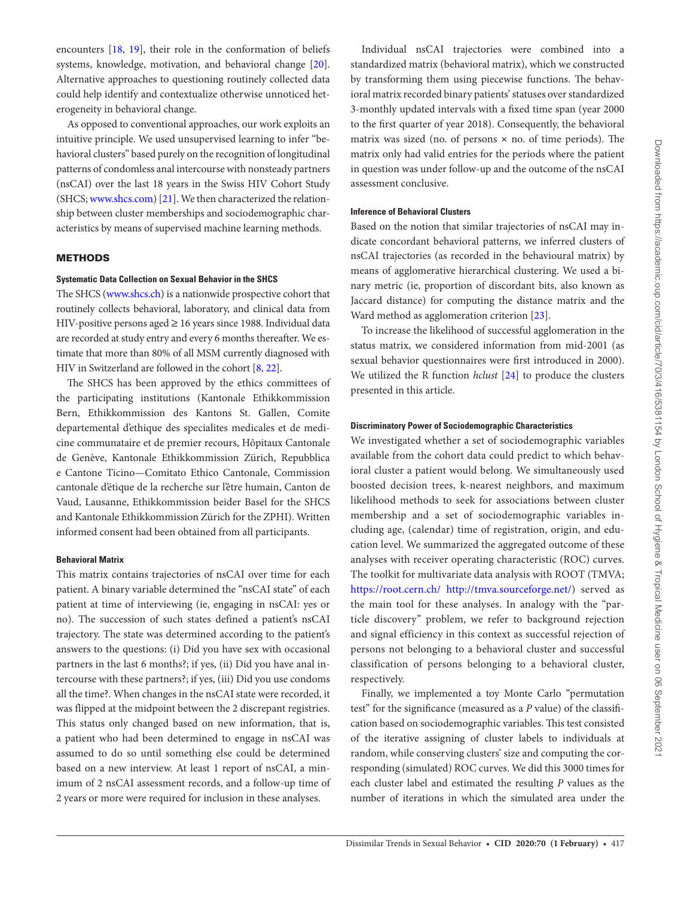encounters [[18,](#page-7-7) [19\]](#page-7-8), their role in the conformation of beliefs systems, knowledge, motivation, and behavioral change [\[20\]](#page-7-9). Alternative approaches to questioning routinely collected data could help identify and contextualize otherwise unnoticed heterogeneity in behavioral change.

As opposed to conventional approaches, our work exploits an intuitive principle. We used unsupervised learning to infer "behavioral clusters" based purely on the recognition of longitudinal patterns of condomless anal intercourse with nonsteady partners (nsCAI) over the last 18 years in the Swiss HIV Cohort Study (SHCS; www.shcs.com) [[21\]](#page-7-10). We then characterized the relationship between cluster memberships and sociodemographic characteristics by means of supervised machine learning methods.

## **METHODS**

## **Systematic Data Collection on Sexual Behavior in the SHCS**

The SHCS (www.shcs.ch) is a nationwide prospective cohort that routinely collects behavioral, laboratory, and clinical data from HIV-positive persons aged ≥ 16 years since 1988. Individual data are recorded at study entry and every 6 months thereafter. We estimate that more than 80% of all MSM currently diagnosed with HIV in Switzerland are followed in the cohort [\[8,](#page-7-11) [22](#page-7-12)].

The SHCS has been approved by the ethics committees of the participating institutions (Kantonale Ethikkommission Bern, Ethikkommission des Kantons St. Gallen, Comite departemental d'ethique des specialites medicales et de medicine communataire et de premier recours, Hôpitaux Cantonale de Genève, Kantonale Ethikkommission Zürich, Repubblica e Cantone Ticino—Comitato Ethico Cantonale, Commission cantonale d'étique de la recherche sur l'être humain, Canton de Vaud, Lausanne, Ethikkommission beider Basel for the SHCS and Kantonale Ethikkommission Zürich for the ZPHI). Written informed consent had been obtained from all participants.

## **Behavioral Matrix**

This matrix contains trajectories of nsCAI over time for each patient. A binary variable determined the "nsCAI state" of each patient at time of interviewing (ie, engaging in nsCAI: yes or no). The succession of such states defined a patient's nsCAI trajectory. The state was determined according to the patient's answers to the questions: (i) Did you have sex with occasional partners in the last 6 months?; if yes, (ii) Did you have anal intercourse with these partners?; if yes, (iii) Did you use condoms all the time?. When changes in the nsCAI state were recorded, it was flipped at the midpoint between the 2 discrepant registries. This status only changed based on new information, that is, a patient who had been determined to engage in nsCAI was assumed to do so until something else could be determined based on a new interview. At least 1 report of nsCAI, a minimum of 2 nsCAI assessment records, and a follow-up time of 2 years or more were required for inclusion in these analyses.

Individual nsCAI trajectories were combined into a standardized matrix (behavioral matrix), which we constructed by transforming them using piecewise functions. The behavioral matrix recorded binary patients' statuses over standardized 3-monthly updated intervals with a fixed time span (year 2000 to the first quarter of year 2018). Consequently, the behavioral matrix was sized (no. of persons  $\times$  no. of time periods). The matrix only had valid entries for the periods where the patient in question was under follow-up and the outcome of the nsCAI assessment conclusive.

## **Inference of Behavioral Clusters**

Based on the notion that similar trajectories of nsCAI may indicate concordant behavioral patterns, we inferred clusters of nsCAI trajectories (as recorded in the behavioural matrix) by means of agglomerative hierarchical clustering. We used a binary metric (ie, proportion of discordant bits, also known as Jaccard distance) for computing the distance matrix and the Ward method as agglomeration criterion [\[23](#page-7-13)].

To increase the likelihood of successful agglomeration in the status matrix, we considered information from mid-2001 (as sexual behavior questionnaires were first introduced in 2000). We utilized the R function *hclust* [[24\]](#page-7-14) to produce the clusters presented in this article.

## **Discriminatory Power of Sociodemographic Characteristics**

We investigated whether a set of sociodemographic variables available from the cohort data could predict to which behavioral cluster a patient would belong. We simultaneously used boosted decision trees, k-nearest neighbors, and maximum likelihood methods to seek for associations between cluster membership and a set of sociodemographic variables including age, (calendar) time of registration, origin, and education level. We summarized the aggregated outcome of these analyses with receiver operating characteristic (ROC) curves. The toolkit for multivariate data analysis with ROOT (TMVA; https://root.cern.ch/ http://tmva.sourceforge.net/) served as the main tool for these analyses. In analogy with the "particle discovery" problem, we refer to background rejection and signal efficiency in this context as successful rejection of persons not belonging to a behavioral cluster and successful classification of persons belonging to a behavioral cluster, respectively.

Finally, we implemented a toy Monte Carlo "permutation test" for the significance (measured as a *P* value) of the classification based on sociodemographic variables. This test consisted of the iterative assigning of cluster labels to individuals at random, while conserving clusters' size and computing the corresponding (simulated) ROC curves. We did this 3000 times for each cluster label and estimated the resulting *P* values as the number of iterations in which the simulated area under the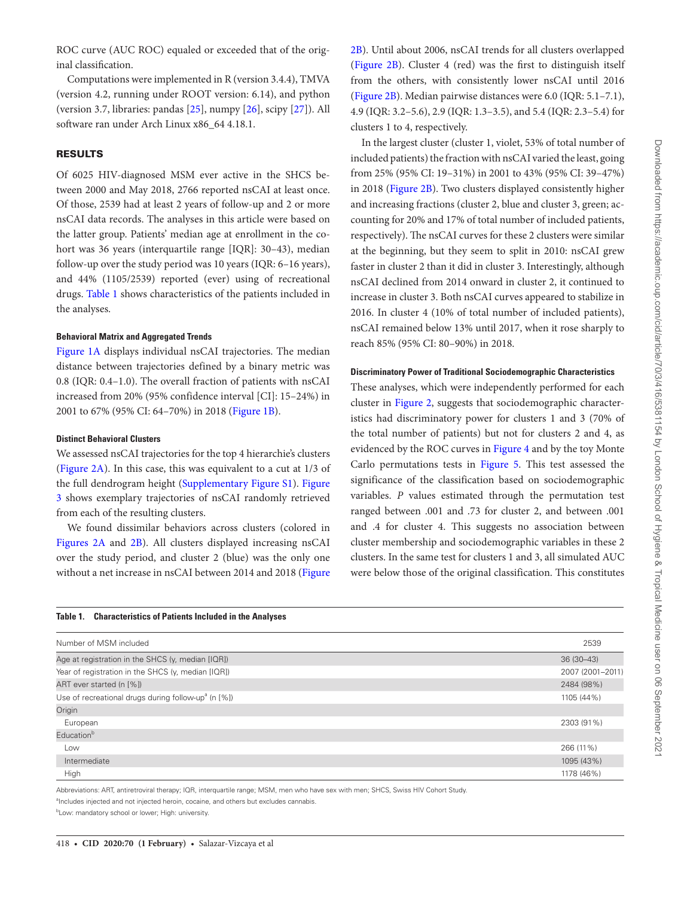ROC curve (AUC ROC) equaled or exceeded that of the original classification.

Computations were implemented in R (version 3.4.4), TMVA (version 4.2, running under ROOT version: 6.14), and python (version 3.7, libraries: pandas [[25\]](#page-7-15), numpy [[26](#page-7-16)], scipy [\[27\]](#page-7-17)). All software ran under Arch Linux x86\_64 4.18.1.

## RESULTS

Of 6025 HIV-diagnosed MSM ever active in the SHCS between 2000 and May 2018, 2766 reported nsCAI at least once. Of those, 2539 had at least 2 years of follow-up and 2 or more nsCAI data records. The analyses in this article were based on the latter group. Patients' median age at enrollment in the cohort was 36 years (interquartile range [IQR]: 30-43), median follow-up over the study period was 10 years (IQR: 6–16 years), and 44% (1105/2539) reported (ever) using of recreational drugs. [Table 1](#page-2-0) shows characteristics of the patients included in the analyses.

#### **Behavioral Matrix and Aggregated Trends**

[Figure 1A](#page-3-0) displays individual nsCAI trajectories. The median distance between trajectories defined by a binary metric was 0.8 (IQR: 0.4–1.0). The overall fraction of patients with nsCAI increased from 20% (95% confidence interval [CI]: 15–24%) in 2001 to 67% (95% CI: 64–70%) in 2018 ([Figure 1B\)](#page-3-0).

#### **Distinct Behavioral Clusters**

We assessed nsCAI trajectories for the top 4 hierarchie's clusters [\(Figure 2A\)](#page-3-1). In this case, this was equivalent to a cut at 1/3 of the full dendrogram height (Supplementary Figure S1). [Figure](#page-4-0)  [3](#page-4-0) shows exemplary trajectories of nsCAI randomly retrieved from each of the resulting clusters.

We found dissimilar behaviors across clusters (colored in [Figures 2A](#page-3-1) and [2B](#page-3-1)). All clusters displayed increasing nsCAI over the study period, and cluster 2 (blue) was the only one without a net increase in nsCAI between 2014 and 2018 ([Figure](#page-3-1) [2B](#page-3-1)). Until about 2006, nsCAI trends for all clusters overlapped [\(Figure 2B](#page-3-1)). Cluster 4 (red) was the first to distinguish itself from the others, with consistently lower nsCAI until 2016 [\(Figure 2B\)](#page-3-1). Median pairwise distances were 6.0 (IQR: 5.1–7.1), 4.9 (IQR: 3.2–5.6), 2.9 (IQR: 1.3–3.5), and 5.4 (IQR: 2.3–5.4) for clusters 1 to 4, respectively.

In the largest cluster (cluster 1, violet, 53% of total number of included patients) the fraction with nsCAI varied the least, going from 25% (95% CI: 19–31%) in 2001 to 43% (95% CI: 39–47%) in 2018 [\(Figure 2B](#page-3-1)). Two clusters displayed consistently higher and increasing fractions (cluster 2, blue and cluster 3, green; accounting for 20% and 17% of total number of included patients, respectively). The nsCAI curves for these 2 clusters were similar at the beginning, but they seem to split in 2010: nsCAI grew faster in cluster 2 than it did in cluster 3. Interestingly, although nsCAI declined from 2014 onward in cluster 2, it continued to increase in cluster 3. Both nsCAI curves appeared to stabilize in 2016. In cluster 4 (10% of total number of included patients), nsCAI remained below 13% until 2017, when it rose sharply to reach 85% (95% CI: 80–90%) in 2018.

#### **Discriminatory Power of Traditional Sociodemographic Characteristics**

These analyses, which were independently performed for each cluster in [Figure 2,](#page-3-1) suggests that sociodemographic characteristics had discriminatory power for clusters 1 and 3 (70% of the total number of patients) but not for clusters 2 and 4, as evidenced by the ROC curves in [Figure 4](#page-4-1) and by the toy Monte Carlo permutations tests in [Figure 5.](#page-5-0) This test assessed the significance of the classification based on sociodemographic variables. *P* values estimated through the permutation test ranged between .001 and .73 for cluster 2, and between .001 and .4 for cluster 4. This suggests no association between cluster membership and sociodemographic variables in these 2 clusters. In the same test for clusters 1 and 3, all simulated AUC were below those of the original classification. This constitutes

<span id="page-2-0"></span>

| Table 1.<br><b>Characteristics of Patients Included in the Analyses</b> |
|-------------------------------------------------------------------------|
|-------------------------------------------------------------------------|

| Number of MSM included                                          | 2539             |
|-----------------------------------------------------------------|------------------|
| Age at registration in the SHCS (y, median [IQR])               | $36(30-43)$      |
| Year of registration in the SHCS (y, median [IQR])              | 2007 (2001-2011) |
| ART ever started (n [%])                                        | 2484 (98%)       |
| Use of recreational drugs during follow-up <sup>a</sup> (n [%]) | 1105 (44%)       |
| Origin                                                          |                  |
| European                                                        | 2303 (91%)       |
| Education <sup>b</sup>                                          |                  |
| Low                                                             | 266 (11%)        |
| Intermediate                                                    | 1095 (43%)       |
| High                                                            | 1178 (46%)       |

Abbreviations: ART, antiretroviral therapy; IQR, interquartile range; MSM, men who have sex with men; SHCS, Swiss HIV Cohort Study.

<sup>a</sup>Includes injected and not injected heroin, cocaine, and others but excludes cannabis.

**Low: mandatory school or lower; High: university.**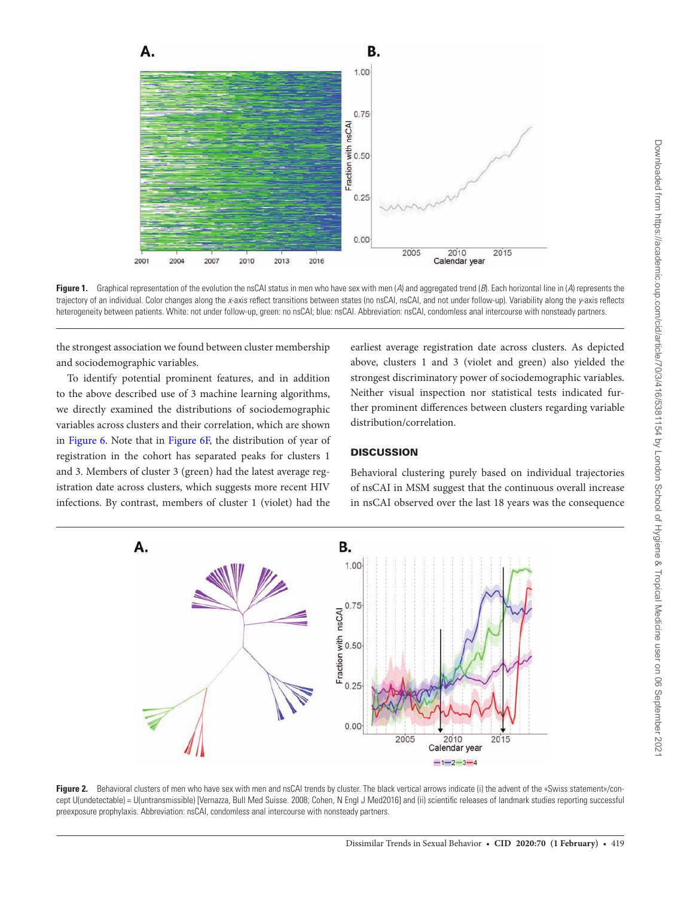

<span id="page-3-0"></span>**Figure 1.** Graphical representation of the evolution the nsCAI status in men who have sex with men (*A*) and aggregated trend (*B*). Each horizontal line in (*A*) represents the trajectory of an individual. Color changes along the *x*-axis reflect transitions between states (no nsCAI, nsCAI, and not under follow-up). Variability along the *y*-axis reflects heterogeneity between patients. White: not under follow-up, green: no nsCAI; blue: nsCAI. Abbreviation: nsCAI, condomless anal intercourse with nonsteady partners.

the strongest association we found between cluster membership and sociodemographic variables.

To identify potential prominent features, and in addition to the above described use of 3 machine learning algorithms, we directly examined the distributions of sociodemographic variables across clusters and their correlation, which are shown in [Figure 6.](#page-5-1) Note that in [Figure 6F,](#page-5-1) the distribution of year of registration in the cohort has separated peaks for clusters 1 and 3. Members of cluster 3 (green) had the latest average registration date across clusters, which suggests more recent HIV infections. By contrast, members of cluster 1 (violet) had the

earliest average registration date across clusters. As depicted above, clusters 1 and 3 (violet and green) also yielded the strongest discriminatory power of sociodemographic variables. Neither visual inspection nor statistical tests indicated further prominent differences between clusters regarding variable distribution/correlation.

# **DISCUSSION**

Behavioral clustering purely based on individual trajectories of nsCAI in MSM suggest that the continuous overall increase in nsCAI observed over the last 18 years was the consequence



<span id="page-3-1"></span>Figure 2. Behavioral clusters of men who have sex with men and nsCAI trends by cluster. The black vertical arrows indicate (i) the advent of the «Swiss statement»/concept U(undetectable) = U(untransmissible) [Vernazza, Bull Med Suisse. 2008; Cohen, N Engl J Med2016] and (ii) scientific releases of landmark studies reporting successful preexposure prophylaxis. Abbreviation: nsCAI, condomless anal intercourse with nonsteady partners.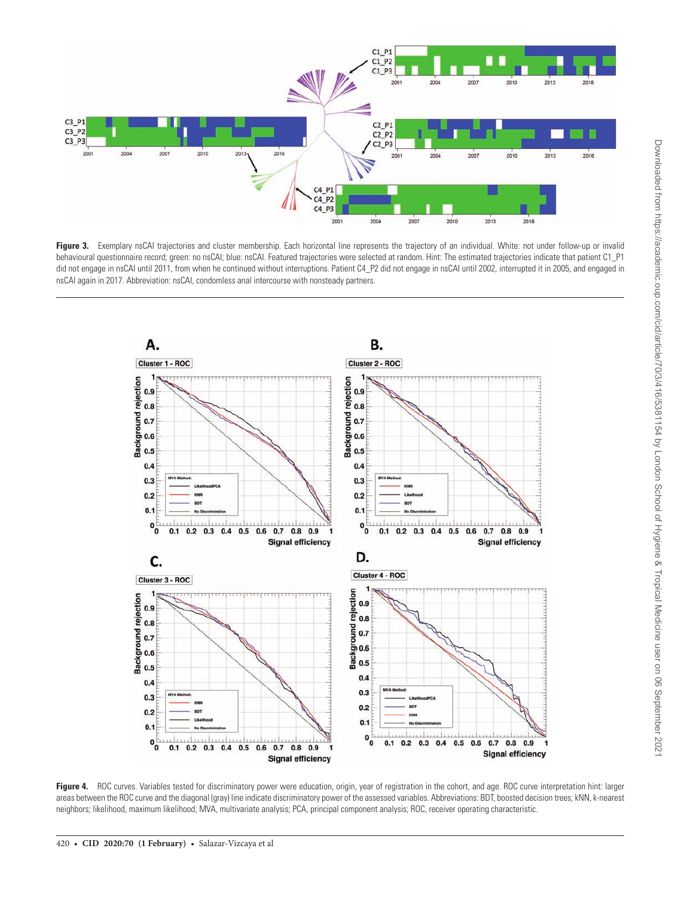

<span id="page-4-0"></span>Figure 3. Exemplary nsCAI trajectories and cluster membership. Each horizontal line represents the trajectory of an individual. White: not under follow-up or invalid behavioural questionnaire record; green: no nsCAI; blue: nsCAI. Featured trajectories were selected at random. Hint: The estimated trajectories indicate that patient C1\_P1 did not engage in nsCAI until 2011, from when he continued without interruptions. Patient C4\_P2 did not engage in nsCAI until 2002, interrupted it in 2005, and engaged in nsCAI again in 2017. Abbreviation: nsCAI, condomless anal intercourse with nonsteady partners.



<span id="page-4-1"></span>Figure 4. ROC curves. Variables tested for discriminatory power were education, origin, year of registration in the cohort, and age. ROC curve interpretation hint: larger areas between the ROC curve and the diagonal (gray) line indicate discriminatory power of the assessed variables. Abbreviations: BDT, boosted decision trees; kNN, k-nearest neighbors; likelihood, maximum likelihood; MVA, multivariate analysis; PCA, principal component analysis; ROC, receiver operating characteristic.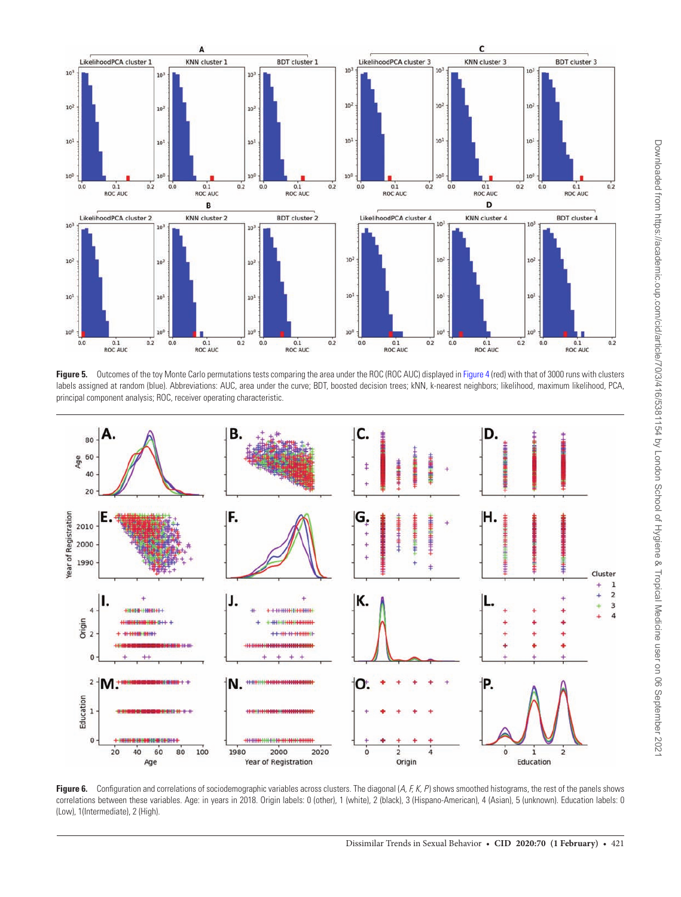

<span id="page-5-0"></span>Figure 5. Outcomes of the toy Monte Carlo permutations tests comparing the area under the ROC (ROC AUC) displayed in [Figure 4](#page-4-1) (red) with that of 3000 runs with clusters labels assigned at random (blue). Abbreviations: AUC, area under the curve; BDT, boosted decision trees; kNN, k-nearest neighbors; likelihood, maximum likelihood, PCA, principal component analysis; ROC, receiver operating characteristic.



<span id="page-5-1"></span>Figure 6. Configuration and correlations of sociodemographic variables across clusters. The diagonal (A, F, K, P) shows smoothed histograms, the rest of the panels shows correlations between these variables. Age: in years in 2018. Origin labels: 0 (other), 1 (white), 2 (black), 3 (Hispano-American), 4 (Asian), 5 (unknown). Education labels: 0 (Low), 1(Intermediate), 2 (High).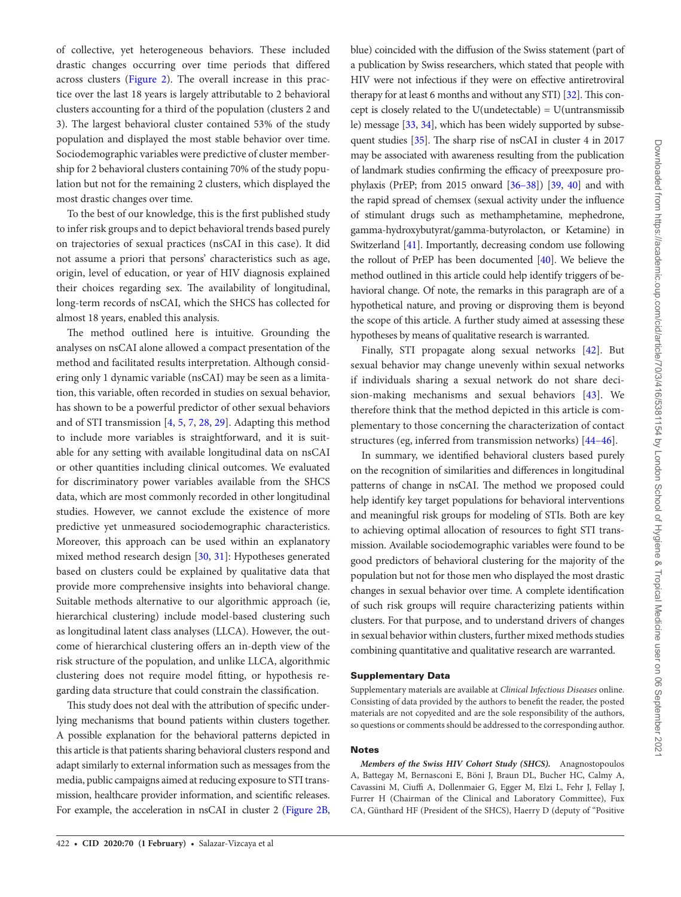of collective, yet heterogeneous behaviors. These included drastic changes occurring over time periods that differed across clusters [\(Figure 2](#page-3-1)). The overall increase in this practice over the last 18 years is largely attributable to 2 behavioral clusters accounting for a third of the population (clusters 2 and 3). The largest behavioral cluster contained 53% of the study population and displayed the most stable behavior over time. Sociodemographic variables were predictive of cluster membership for 2 behavioral clusters containing 70% of the study population but not for the remaining 2 clusters, which displayed the most drastic changes over time.

To the best of our knowledge, this is the first published study to infer risk groups and to depict behavioral trends based purely on trajectories of sexual practices (nsCAI in this case). It did not assume a priori that persons' characteristics such as age, origin, level of education, or year of HIV diagnosis explained their choices regarding sex. The availability of longitudinal, long-term records of nsCAI, which the SHCS has collected for almost 18 years, enabled this analysis.

The method outlined here is intuitive. Grounding the analyses on nsCAI alone allowed a compact presentation of the method and facilitated results interpretation. Although considering only 1 dynamic variable (nsCAI) may be seen as a limitation, this variable, often recorded in studies on sexual behavior, has shown to be a powerful predictor of other sexual behaviors and of STI transmission [\[4,](#page-7-1) [5,](#page-7-18) [7,](#page-7-19) [28,](#page-7-20) [29](#page-7-21)]. Adapting this method to include more variables is straightforward, and it is suitable for any setting with available longitudinal data on nsCAI or other quantities including clinical outcomes. We evaluated for discriminatory power variables available from the SHCS data, which are most commonly recorded in other longitudinal studies. However, we cannot exclude the existence of more predictive yet unmeasured sociodemographic characteristics. Moreover, this approach can be used within an explanatory mixed method research design [[30](#page-7-22), [31\]](#page-8-0): Hypotheses generated based on clusters could be explained by qualitative data that provide more comprehensive insights into behavioral change. Suitable methods alternative to our algorithmic approach (ie, hierarchical clustering) include model-based clustering such as longitudinal latent class analyses (LLCA). However, the outcome of hierarchical clustering offers an in-depth view of the risk structure of the population, and unlike LLCA, algorithmic clustering does not require model fitting, or hypothesis regarding data structure that could constrain the classification.

This study does not deal with the attribution of specific underlying mechanisms that bound patients within clusters together. A possible explanation for the behavioral patterns depicted in this article is that patients sharing behavioral clusters respond and adapt similarly to external information such as messages from the media, public campaigns aimed at reducing exposure to STI transmission, healthcare provider information, and scientific releases. For example, the acceleration in nsCAI in cluster 2 [\(Figure 2B,](#page-3-1) blue) coincided with the diffusion of the Swiss statement (part of a publication by Swiss researchers, which stated that people with HIV were not infectious if they were on effective antiretroviral therapy for at least 6 months and without any STI) [\[32](#page-8-1)]. This concept is closely related to the U(undetectable) =  $U(untransmission)$ le) message [[33,](#page-8-2) [34](#page-8-3)], which has been widely supported by subsequent studies [\[35](#page-8-4)]. The sharp rise of nsCAI in cluster 4 in 2017 may be associated with awareness resulting from the publication of landmark studies confirming the efficacy of preexposure prophylaxis (PrEP; from 2015 onward [\[36–38\]](#page-8-5)) [[39,](#page-8-6) [40](#page-8-7)] and with the rapid spread of chemsex (sexual activity under the influence of stimulant drugs such as methamphetamine, mephedrone, gamma-hydroxybutyrat/gamma-butyrolacton, or Ketamine) in Switzerland [[41\]](#page-8-8). Importantly, decreasing condom use following the rollout of PrEP has been documented [[40](#page-8-7)]. We believe the method outlined in this article could help identify triggers of behavioral change. Of note, the remarks in this paragraph are of a hypothetical nature, and proving or disproving them is beyond the scope of this article. A further study aimed at assessing these hypotheses by means of qualitative research is warranted.

Finally, STI propagate along sexual networks [\[42](#page-8-9)]. But sexual behavior may change unevenly within sexual networks if individuals sharing a sexual network do not share decision-making mechanisms and sexual behaviors [[43\]](#page-8-10). We therefore think that the method depicted in this article is complementary to those concerning the characterization of contact structures (eg, inferred from transmission networks) [[44–46\]](#page-8-11).

In summary, we identified behavioral clusters based purely on the recognition of similarities and differences in longitudinal patterns of change in nsCAI. The method we proposed could help identify key target populations for behavioral interventions and meaningful risk groups for modeling of STIs. Both are key to achieving optimal allocation of resources to fight STI transmission. Available sociodemographic variables were found to be good predictors of behavioral clustering for the majority of the population but not for those men who displayed the most drastic changes in sexual behavior over time. A complete identification of such risk groups will require characterizing patients within clusters. For that purpose, and to understand drivers of changes in sexual behavior within clusters, further mixed methods studies combining quantitative and qualitative research are warranted.

### Supplementary Data

Supplementary materials are available at *Clinical Infectious Diseases* online. Consisting of data provided by the authors to benefit the reader, the posted materials are not copyedited and are the sole responsibility of the authors, so questions or comments should be addressed to the corresponding author.

## Notes

*Members of the Swiss HIV Cohort Study (SHCS).* Anagnostopoulos A, Battegay M, Bernasconi E, Böni J, Braun DL, Bucher HC, Calmy A, Cavassini M, Ciuffi A, Dollenmaier G, Egger M, Elzi L, Fehr J, Fellay J, Furrer H (Chairman of the Clinical and Laboratory Committee), Fux CA, Günthard HF (President of the SHCS), Haerry D (deputy of "Positive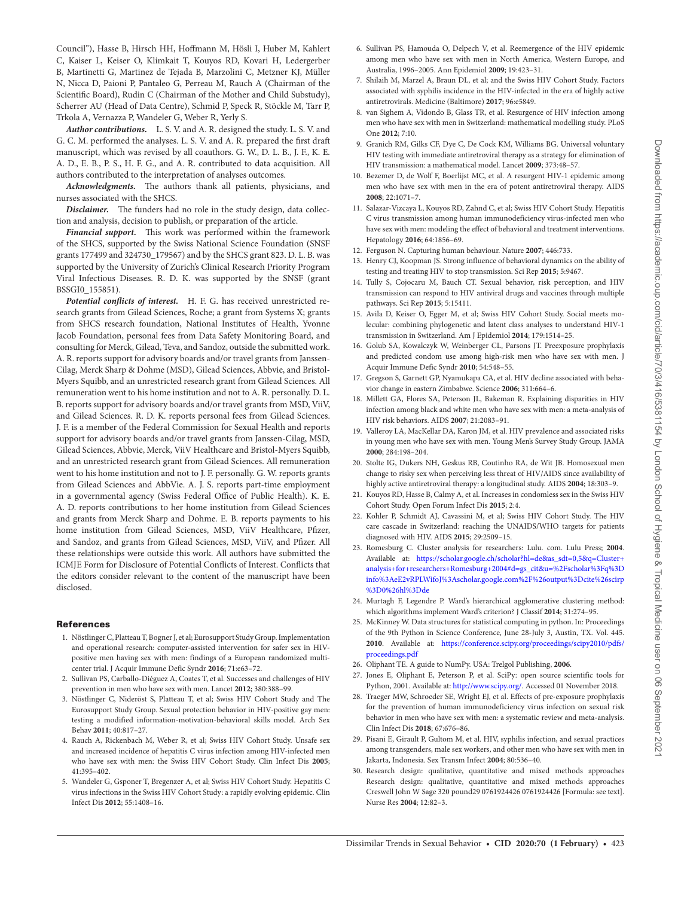Council"), Hasse B, Hirsch HH, Hoffmann M, Hösli I, Huber M, Kahlert C, Kaiser L, Keiser O, Klimkait T, Kouyos RD, Kovari H, Ledergerber B, Martinetti G, Martinez de Tejada B, Marzolini C, Metzner KJ, Müller N, Nicca D, Paioni P, Pantaleo G, Perreau M, Rauch A (Chairman of the Scientific Board), Rudin C (Chairman of the Mother and Child Substudy), Scherrer AU (Head of Data Centre), Schmid P, Speck R, Stöckle M, Tarr P, Trkola A, Vernazza P, Wandeler G, Weber R, Yerly S.

*Author contributions.* L. S. V. and A. R. designed the study. L. S. V. and G. C. M. performed the analyses. L. S. V. and A. R. prepared the first draft manuscript, which was revised by all coauthors. G. W., D. L. B., J. F., K. E. A. D., E. B., P. S., H. F. G., and A. R. contributed to data acquisition. All authors contributed to the interpretation of analyses outcomes.

*Acknowledgments.* The authors thank all patients, physicians, and nurses associated with the SHCS.

*Disclaimer.* The funders had no role in the study design, data collection and analysis, decision to publish, or preparation of the article.

*Financial support.* This work was performed within the framework of the SHCS, supported by the Swiss National Science Foundation (SNSF grants 177499 and 324730\_179567) and by the SHCS grant 823. D. L. B. was supported by the University of Zurich's Clinical Research Priority Program Viral Infectious Diseases. R. D. K. was supported by the SNSF (grant BSSGI0\_155851).

Potential conflicts of interest. H. F. G. has received unrestricted research grants from Gilead Sciences, Roche; a grant from Systems X; grants from SHCS research foundation, National Institutes of Health, Yvonne Jacob Foundation, personal fees from Data Safety Monitoring Board, and consulting for Merck, Gilead, Teva, and Sandoz, outside the submitted work. A. R. reports support for advisory boards and/or travel grants from Janssen-Cilag, Merck Sharp & Dohme (MSD), Gilead Sciences, Abbvie, and Bristol-Myers Squibb, and an unrestricted research grant from Gilead Sciences. All remuneration went to his home institution and not to A. R. personally. D. L. B. reports support for advisory boards and/or travel grants from MSD, ViiV, and Gilead Sciences. R. D. K. reports personal fees from Gilead Sciences. J. F. is a member of the Federal Commission for Sexual Health and reports support for advisory boards and/or travel grants from Janssen-Cilag, MSD, Gilead Sciences, Abbvie, Merck, ViiV Healthcare and Bristol-Myers Squibb, and an unrestricted research grant from Gilead Sciences. All remuneration went to his home institution and not to J. F. personally. G. W. reports grants from Gilead Sciences and AbbVie. A. J. S. reports part-time employment in a governmental agency (Swiss Federal Office of Public Health). K. E. A. D. reports contributions to her home institution from Gilead Sciences and grants from Merck Sharp and Dohme. E. B. reports payments to his home institution from Gilead Sciences, MSD, ViiV Healthcare, Pfizer, and Sandoz, and grants from Gilead Sciences, MSD, ViiV, and Pfizer. All these relationships were outside this work. All authors have submitted the ICMJE Form for Disclosure of Potential Conflicts of Interest. Conflicts that the editors consider relevant to the content of the manuscript have been disclosed.

#### **References**

- <span id="page-7-0"></span>1. Nöstlinger C, Platteau T, Bogner J, et al; Eurosupport Study Group. Implementation and operational research: computer-assisted intervention for safer sex in HIVpositive men having sex with men: findings of a European randomized multicenter trial. J Acquir Immune Defic Syndr **2016**; 71:e63–72.
- 2. Sullivan PS, Carballo-Diéguez A, Coates T, et al. Successes and challenges of HIV prevention in men who have sex with men. Lancet **2012**; 380:388–99.
- 3. Nöstlinger C, Nideröst S, Platteau T, et al; Swiss HIV Cohort Study and The Eurosupport Study Group. Sexual protection behavior in HIV-positive gay men: testing a modified information-motivation-behavioral skills model. Arch Sex Behav **2011**; 40:817–27.
- <span id="page-7-1"></span>4. Rauch A, Rickenbach M, Weber R, et al; Swiss HIV Cohort Study. Unsafe sex and increased incidence of hepatitis C virus infection among HIV-infected men who have sex with men: the Swiss HIV Cohort Study. Clin Infect Dis **2005**; 41:395–402.
- <span id="page-7-18"></span>5. Wandeler G, Gsponer T, Bregenzer A, et al; Swiss HIV Cohort Study. Hepatitis C virus infections in the Swiss HIV Cohort Study: a rapidly evolving epidemic. Clin Infect Dis **2012**; 55:1408–16.
- 6. Sullivan PS, Hamouda O, Delpech V, et al. Reemergence of the HIV epidemic among men who have sex with men in North America, Western Europe, and Australia, 1996–2005. Ann Epidemiol **2009**; 19:423–31.
- <span id="page-7-19"></span>7. Shilaih M, Marzel A, Braun DL, et al; and the Swiss HIV Cohort Study. Factors associated with syphilis incidence in the HIV-infected in the era of highly active antiretrovirals. Medicine (Baltimore) **2017**; 96:e5849.
- <span id="page-7-11"></span>8. van Sighem A, Vidondo B, Glass TR, et al. Resurgence of HIV infection among men who have sex with men in Switzerland: mathematical modelling study. PLoS One **2012**; 7:10.
- <span id="page-7-2"></span>9. Granich RM, Gilks CF, Dye C, De Cock KM, Williams BG. Universal voluntary HIV testing with immediate antiretroviral therapy as a strategy for elimination of HIV transmission: a mathematical model. Lancet **2009**; 373:48–57.
- 10. Bezemer D, de Wolf F, Boerlijst MC, et al. A resurgent HIV-1 epidemic among men who have sex with men in the era of potent antiretroviral therapy. AIDS **2008**; 22:1071–7.
- 11. Salazar-Vizcaya L, Kouyos RD, Zahnd C, et al; Swiss HIV Cohort Study. Hepatitis C virus transmission among human immunodeficiency virus-infected men who have sex with men: modeling the effect of behavioral and treatment interventions. Hepatology **2016**; 64:1856–69.
- <span id="page-7-3"></span>12. Ferguson N. Capturing human behaviour. Nature **2007**; 446:733.
- <span id="page-7-4"></span>13. Henry CJ, Koopman JS. Strong influence of behavioral dynamics on the ability of testing and treating HIV to stop transmission. Sci Rep **2015**; 5:9467.
- <span id="page-7-5"></span>14. Tully S, Cojocaru M, Bauch CT. Sexual behavior, risk perception, and HIV transmission can respond to HIV antiviral drugs and vaccines through multiple pathways. Sci Rep **2015**; 5:15411.
- <span id="page-7-6"></span>15. Avila D, Keiser O, Egger M, et al; Swiss HIV Cohort Study. Social meets molecular: combining phylogenetic and latent class analyses to understand HIV-1 transmission in Switzerland. Am J Epidemiol **2014**; 179:1514–25.
- 16. Golub SA, Kowalczyk W, Weinberger CL, Parsons JT. Preexposure prophylaxis and predicted condom use among high-risk men who have sex with men. J Acquir Immune Defic Syndr **2010**; 54:548–55.
- 17. Gregson S, Garnett GP, Nyamukapa CA, et al. HIV decline associated with behavior change in eastern Zimbabwe. Science **2006**; 311:664–6.
- <span id="page-7-7"></span>18. Millett GA, Flores SA, Peterson JL, Bakeman R. Explaining disparities in HIV infection among black and white men who have sex with men: a meta-analysis of HIV risk behaviors. AIDS **2007**; 21:2083–91.
- <span id="page-7-8"></span>19. Valleroy LA, MacKellar DA, Karon JM, et al. HIV prevalence and associated risks in young men who have sex with men. Young Men's Survey Study Group. JAMA **2000**; 284:198–204.
- <span id="page-7-9"></span>20. Stolte IG, Dukers NH, Geskus RB, Coutinho RA, de Wit JB. Homosexual men change to risky sex when perceiving less threat of HIV/AIDS since availability of highly active antiretroviral therapy: a longitudinal study. AIDS **2004**; 18:303–9.
- <span id="page-7-10"></span>21. Kouyos RD, Hasse B, Calmy A, et al. Increases in condomless sex in the Swiss HIV Cohort Study. Open Forum Infect Dis **2015**; 2:4.
- <span id="page-7-12"></span>22. Kohler P, Schmidt AJ, Cavassini M, et al; Swiss HIV Cohort Study. The HIV care cascade in Switzerland: reaching the UNAIDS/WHO targets for patients diagnosed with HIV. AIDS **2015**; 29:2509–15.
- <span id="page-7-13"></span>23. Romesburg C. Cluster analysis for researchers: Lulu. com. Lulu Press; **2004**. Available at: https://scholar.google.ch/scholar?hl=de&as\_sdt=0,5&q=Cluster+ analysis+for+researchers+Romesburg+2004#d=gs\_cit&u=%2Fscholar%3Fq%3D info%3AeE2vRPLWifoJ%3Ascholar.google.com%2F%26output%3Dcite%26scirp %3D0%26hl%3Dde
- <span id="page-7-14"></span>24. Murtagh F, Legendre P. Ward's hierarchical agglomerative clustering method: which algorithms implement Ward's criterion? J Classif **2014**; 31:274–95.
- <span id="page-7-15"></span>25. McKinney W. Data structures for statistical computing in python. In: Proceedings of the 9th Python in Science Conference, June 28-July 3, Austin, TX. Vol. 445. **2010**. Available at: https://conference.scipy.org/proceedings/scipy2010/pdfs/ proceedings.pdf
- <span id="page-7-16"></span>26. Oliphant TE. A guide to NumPy. USA: Trelgol Publishing, **2006**.
- <span id="page-7-17"></span>27. Jones E, Oliphant E, Peterson P, et al. SciPy: open source scientific tools for Python, 2001. Available at: http://www.scipy.org/. Accessed 01 November 2018.
- <span id="page-7-20"></span>28. Traeger MW, Schroeder SE, Wright EJ, et al. Effects of pre-exposure prophylaxis for the prevention of human immunodeficiency virus infection on sexual risk behavior in men who have sex with men: a systematic review and meta-analysis. Clin Infect Dis **2018**; 67:676–86.
- <span id="page-7-21"></span>29. Pisani E, Girault P, Gultom M, et al. HIV, syphilis infection, and sexual practices among transgenders, male sex workers, and other men who have sex with men in Jakarta, Indonesia. Sex Transm Infect **2004**; 80:536–40.
- <span id="page-7-22"></span>30. Research design: qualitative, quantitative and mixed methods approaches Research design: qualitative, quantitative and mixed methods approaches Creswell John W Sage 320 pound29 0761924426 0761924426 [Formula: see text]. Nurse Res **2004**; 12:82–3.